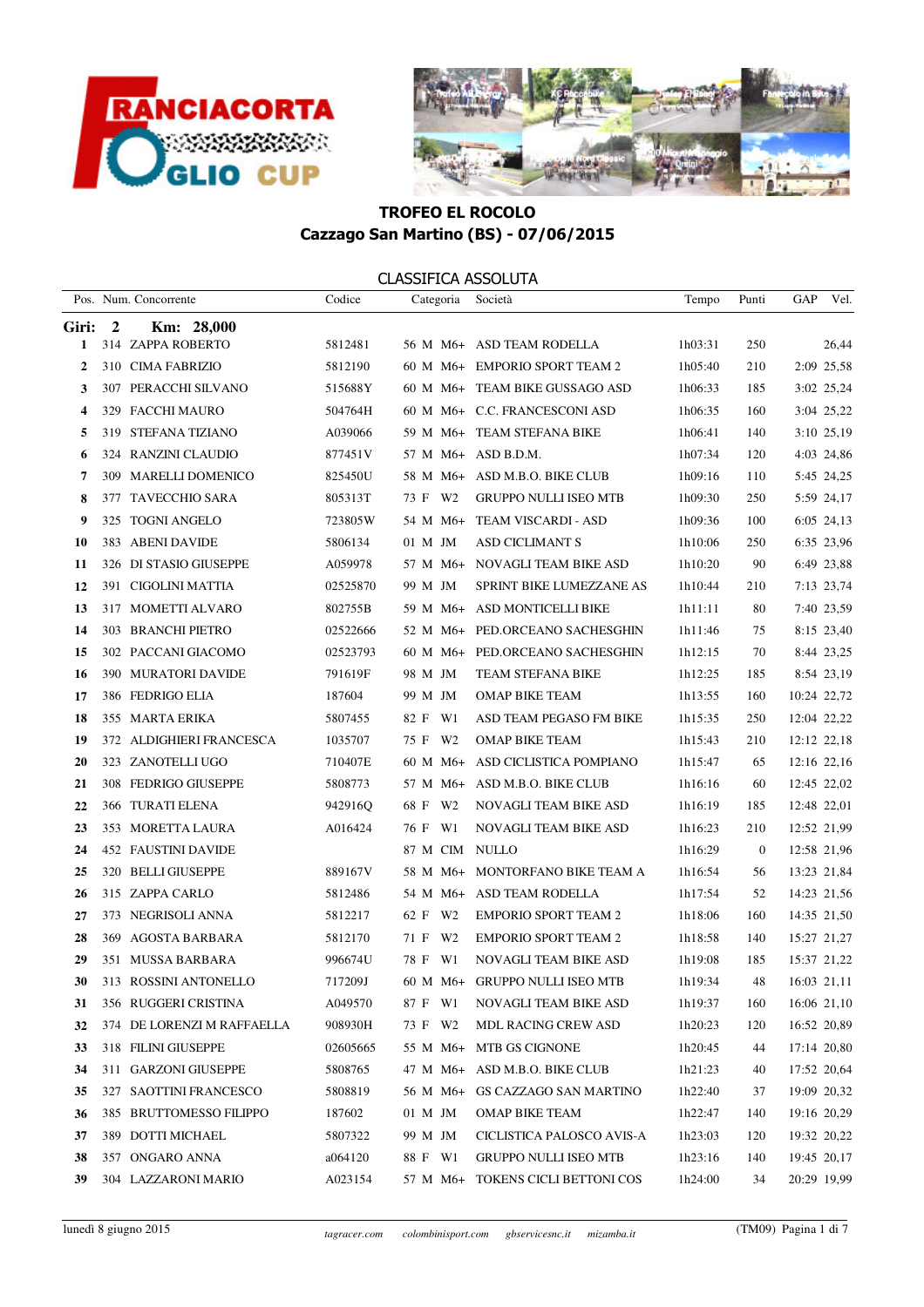



|              |                | Pos. Num. Concorrente      | Codice   | Categoria              | Società                         | Tempo   | Punti          | GAP<br>Vel. |
|--------------|----------------|----------------------------|----------|------------------------|---------------------------------|---------|----------------|-------------|
| Giri:        | $\overline{2}$ | Km: 28,000                 |          |                        |                                 |         |                |             |
| 1            |                | 314 ZAPPA ROBERTO          | 5812481  |                        | 56 M M6+ ASD TEAM RODELLA       | 1h03:31 | 250            | 26,44       |
| $\mathbf{2}$ |                | 310 CIMA FABRIZIO          | 5812190  |                        | 60 M M6+ EMPORIO SPORT TEAM 2   | 1h05:40 | 210            | 2:09 25,58  |
| 3            |                | 307 PERACCHI SILVANO       | 515688Y  |                        | 60 M M6+ TEAM BIKE GUSSAGO ASD  | 1h06:33 | 185            | 3:02 25,24  |
| 4            |                | 329 FACCHI MAURO           | 504764H  |                        | 60 M M6+ C.C. FRANCESCONI ASD   | 1h06:35 | 160            | 3:04 25,22  |
| 5            |                | 319 STEFANA TIZIANO        | A039066  |                        | 59 M M6+ TEAM STEFANA BIKE      | 1h06:41 | 140            | 3:10 25,19  |
| 6            |                | 324 RANZINI CLAUDIO        | 877451V  |                        | 57 M M6+ ASD B.D.M.             | 1h07:34 | 120            | 4:03 24,86  |
| 7            |                | 309 MARELLI DOMENICO       | 825450U  |                        | 58 M M6+ ASD M.B.O. BIKE CLUB   | 1h09:16 | 110            | 5:45 24,25  |
| 8            |                | 377 TAVECCHIO SARA         | 805313T  | 73 F W2                | <b>GRUPPO NULLI ISEO MTB</b>    | 1h09:30 | 250            | 5:59 24,17  |
| 9            |                | 325 TOGNI ANGELO           | 723805W  | 54 M M6+               | TEAM VISCARDI - ASD             | 1h09:36 | 100            | 6:05 24,13  |
| 10           |                | 383 ABENI DAVIDE           | 5806134  | 01 M JM                | <b>ASD CICLIMANT S</b>          | 1h10:06 | 250            | 6:35 23,96  |
| 11           |                | 326 DI STASIO GIUSEPPE     | A059978  |                        | 57 M M6+ NOVAGLI TEAM BIKE ASD  | 1h10:20 | 90             | 6:49 23,88  |
| 12           |                | 391 CIGOLINI MATTIA        | 02525870 | 99 M JM                | SPRINT BIKE LUMEZZANE AS        | 1h10:44 | 210            | 7:13 23,74  |
| 13           |                | 317 MOMETTI ALVARO         | 802755B  | 59 M M6+               | ASD MONTICELLI BIKE             | 1h11:11 | 80             | 7:40 23,59  |
| 14           |                | 303 BRANCHI PIETRO         | 02522666 | 52 M M6+               | PED.ORCEANO SACHESGHIN          | 1h11:46 | 75             | 8:15 23,40  |
| 15           |                | 302 PACCANI GIACOMO        | 02523793 |                        | 60 M M6+ PED.ORCEANO SACHESGHIN | 1h12:15 | 70             | 8:44 23,25  |
| 16           |                | 390 MURATORI DAVIDE        | 791619F  | 98 M JM                | TEAM STEFANA BIKE               | 1h12:25 | 185            | 8:54 23,19  |
| 17           |                | 386 FEDRIGO ELIA           | 187604   | 99 M JM                | <b>OMAP BIKE TEAM</b>           | 1h13:55 | 160            | 10:24 22,72 |
| 18           |                | 355 MARTA ERIKA            | 5807455  | 82 F W1                | ASD TEAM PEGASO FM BIKE         | 1h15:35 | 250            | 12:04 22,22 |
| 19           |                | 372 ALDIGHIERI FRANCESCA   | 1035707  | 75 F W2                | OMAP BIKE TEAM                  | 1h15:43 | 210            | 12:12 22,18 |
| 20           |                | 323 ZANOTELLI UGO          | 710407E  | $60 M M6+$             | ASD CICLISTICA POMPIANO         | 1h15:47 | 65             | 12:16 22,16 |
| 21           |                | 308 FEDRIGO GIUSEPPE       | 5808773  |                        | 57 M M6+ ASD M.B.O. BIKE CLUB   | 1h16:16 | 60             | 12:45 22,02 |
| 22           |                | 366 TURATI ELENA           | 942916Q  | 68 F W2                | NOVAGLI TEAM BIKE ASD           | 1h16:19 | 185            | 12:48 22,01 |
| 23           |                | 353 MORETTA LAURA          | A016424  | 76 F W1                | NOVAGLI TEAM BIKE ASD           | 1h16:23 | 210            | 12:52 21,99 |
| 24           |                | <b>452 FAUSTINI DAVIDE</b> |          | 87 M CIM               | NULLO                           | 1h16:29 | $\overline{0}$ | 12:58 21,96 |
| 25           |                | 320 BELLI GIUSEPPE         | 889167V  | 58 M M6+               | MONTORFANO BIKE TEAM A          | 1h16:54 | 56             | 13:23 21,84 |
| 26           |                | 315 ZAPPA CARLO            | 5812486  |                        | 54 M M6+ ASD TEAM RODELLA       | 1h17:54 | 52             | 14:23 21,56 |
| 27           |                | 373 NEGRISOLI ANNA         | 5812217  | 62 F W2                | <b>EMPORIO SPORT TEAM 2</b>     | 1h18:06 | 160            | 14:35 21,50 |
| 28           |                | 369 AGOSTA BARBARA         | 5812170  | 71 F<br>W <sub>2</sub> | <b>EMPORIO SPORT TEAM 2</b>     | 1h18:58 | 140            | 15:27 21,27 |
| 29           |                | 351 MUSSA BARBARA          | 996674U  | 78 F W1                | NOVAGLI TEAM BIKE ASD           | 1h19:08 | 185            | 15:37 21,22 |
| 30           |                | 313 ROSSINI ANTONELLO      | 717209J  |                        | 60 M M6+ GRUPPO NULLI ISEO MTB  | 1h19:34 | 48             | 16:03 21,11 |
| 31           |                | 356 RUGGERI CRISTINA       | A049570  | 87 F W1                | NOVAGLI TEAM BIKE ASD           | 1h19:37 | 160            | 16:06 21,10 |
| 32           |                | 374 DE LORENZI M RAFFAELLA | 908930H  | 73 F W2                | <b>MDL RACING CREW ASD</b>      | 1h20:23 | 120            | 16:52 20,89 |
| 33           |                | 318 FILINI GIUSEPPE        | 02605665 | 55 M M6+               | MTB GS CIGNONE                  | 1h20:45 | 44             | 17:14 20.80 |
| 34           |                | 311 GARZONI GIUSEPPE       | 5808765  | 47 M M6+               | ASD M.B.O. BIKE CLUB            | 1h21:23 | 40             | 17:52 20,64 |
| 35           |                | 327 SAOTTINI FRANCESCO     | 5808819  | 56 M M6+               | GS CAZZAGO SAN MARTINO          | 1h22:40 | 37             | 19:09 20,32 |
| 36           |                | 385 BRUTTOMESSO FILIPPO    | 187602   | 01 M JM                | <b>OMAP BIKE TEAM</b>           | 1h22:47 | 140            | 19:16 20,29 |
| 37           |                | 389 DOTTI MICHAEL          | 5807322  | 99 M JM                | CICLISTICA PALOSCO AVIS-A       | 1h23:03 | 120            | 19:32 20,22 |
| 38           |                | 357 ONGARO ANNA            | a064120  | 88 F W1                | GRUPPO NULLI ISEO MTB           | 1h23:16 | 140            | 19:45 20,17 |
| 39           |                | 304 LAZZARONI MARIO        | A023154  | 57 M M6+               | TOKENS CICLI BETTONI COS        | 1h24:00 | 34             | 20:29 19,99 |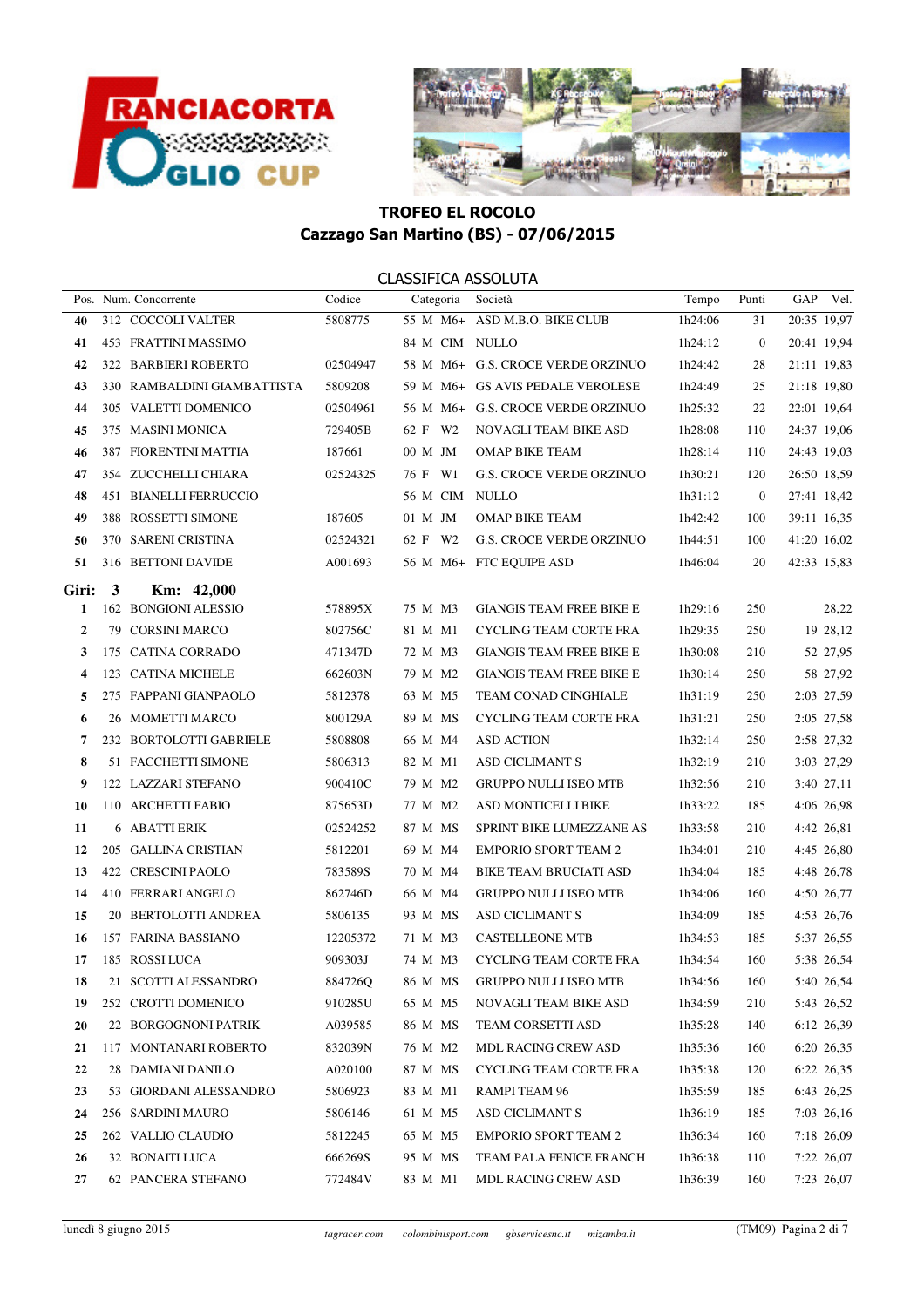



|                |   | Pos. Num. Concorrente       | Codice   | Categoria      | Società                           | Tempo   | Punti            | GAP Vel.    |            |
|----------------|---|-----------------------------|----------|----------------|-----------------------------------|---------|------------------|-------------|------------|
| 40             |   | 312 COCCOLI VALTER          | 5808775  |                | 55 M M6+ ASD M.B.O. BIKE CLUB     | 1h24:06 | 31               | 20:35 19,97 |            |
| 41             |   | 453 FRATTINI MASSIMO        |          | 84 M CIM NULLO |                                   | 1h24:12 | $\boldsymbol{0}$ | 20:41 19,94 |            |
| 42             |   | 322 BARBIERI ROBERTO        | 02504947 |                | 58 M M6+ G.S. CROCE VERDE ORZINUO | 1h24:42 | 28               | 21:11 19,83 |            |
| 43             |   | 330 RAMBALDINI GIAMBATTISTA | 5809208  |                | 59 M M6+ GS AVIS PEDALE VEROLESE  | 1h24:49 | 25               | 21:18 19,80 |            |
| 44             |   | 305 VALETTI DOMENICO        | 02504961 |                | 56 M M6+ G.S. CROCE VERDE ORZINUO | 1h25:32 | 22               | 22:01 19,64 |            |
| 45             |   | 375 MASINI MONICA           | 729405B  | 62 F W2        | NOVAGLI TEAM BIKE ASD             | 1h28:08 | 110              | 24:37 19,06 |            |
| 46             |   | 387 FIORENTINI MATTIA       | 187661   | 00 M JM        | OMAP BIKE TEAM                    | 1h28:14 | 110              | 24:43 19,03 |            |
| 47             |   | 354 ZUCCHELLI CHIARA        | 02524325 | 76 F W1        | <b>G.S. CROCE VERDE ORZINUO</b>   | 1h30:21 | 120              | 26:50 18,59 |            |
| 48             |   | 451 BIANELLI FERRUCCIO      |          | 56 M CIM NULLO |                                   | 1h31:12 | $\overline{0}$   | 27:41 18,42 |            |
| 49             |   | 388 ROSSETTI SIMONE         | 187605   | 01 M JM        | <b>OMAP BIKE TEAM</b>             | 1h42:42 | 100              | 39:11 16,35 |            |
| 50             |   | 370 SARENI CRISTINA         | 02524321 | 62 F W2        | <b>G.S. CROCE VERDE ORZINUO</b>   | 1h44:51 | 100              | 41:20 16,02 |            |
| 51             |   | 316 BETTONI DAVIDE          | A001693  |                | 56 M M6+ FTC EQUIPE ASD           | 1h46:04 | 20               | 42:33 15,83 |            |
| Giri:          | 3 | Km: 42,000                  |          |                |                                   |         |                  |             |            |
| 1              |   | 162 BONGIONI ALESSIO        | 578895X  | 75 M M3        | <b>GIANGIS TEAM FREE BIKE E</b>   | 1h29:16 | 250              |             | 28,22      |
| $\overline{2}$ |   | 79 CORSINI MARCO            | 802756C  | 81 M M1        | <b>CYCLING TEAM CORTE FRA</b>     | 1h29:35 | 250              |             | 19 28,12   |
| 3              |   | 175 CATINA CORRADO          | 471347D  | 72 M M3        | <b>GIANGIS TEAM FREE BIKE E</b>   | 1h30:08 | 210              |             | 52 27,95   |
| 4              |   | 123 CATINA MICHELE          | 662603N  | 79 M M2        | <b>GIANGIS TEAM FREE BIKE E</b>   | 1h30:14 | 250              |             | 58 27,92   |
| 5              |   | 275 FAPPANI GIANPAOLO       | 5812378  | 63 M M5        | TEAM CONAD CINGHIALE              | 1h31:19 | 250              |             | 2:03 27,59 |
| 6              |   | 26 MOMETTI MARCO            | 800129A  | 89 M MS        | <b>CYCLING TEAM CORTE FRA</b>     | 1h31:21 | 250              |             | 2:05 27,58 |
| 7              |   | 232 BORTOLOTTI GABRIELE     | 5808808  | 66 M M4        | <b>ASD ACTION</b>                 | 1h32:14 | 250              |             | 2:58 27,32 |
| 8              |   | 51 FACCHETTI SIMONE         | 5806313  | 82 M M1        | <b>ASD CICLIMANT S</b>            | 1h32:19 | 210              |             | 3:03 27,29 |
| 9              |   | 122 LAZZARI STEFANO         | 900410C  | 79 M M2        | <b>GRUPPO NULLI ISEO MTB</b>      | 1h32:56 | 210              | 3:40 27,11  |            |
| 10             |   | 110 ARCHETTI FABIO          | 875653D  | 77 M M2        | ASD MONTICELLI BIKE               | 1h33:22 | 185              | 4:06 26,98  |            |
| 11             |   | 6 ABATTI ERIK               | 02524252 | 87 M MS        | SPRINT BIKE LUMEZZANE AS          | 1h33:58 | 210              |             | 4:42 26,81 |
| 12             |   | 205 GALLINA CRISTIAN        | 5812201  | 69 M M4        | <b>EMPORIO SPORT TEAM 2</b>       | 1h34:01 | 210              |             | 4:45 26,80 |
| 13             |   | 422 CRESCINI PAOLO          | 783589S  | 70 M M4        | <b>BIKE TEAM BRUCIATI ASD</b>     | 1h34:04 | 185              | 4:48 26,78  |            |
| 14             |   | 410 FERRARI ANGELO          | 862746D  | 66 M M4        | <b>GRUPPO NULLI ISEO MTB</b>      | 1h34:06 | 160              |             | 4:50 26,77 |
| 15             |   | 20 BERTOLOTTI ANDREA        | 5806135  | 93 M MS        | <b>ASD CICLIMANT S</b>            | 1h34:09 | 185              |             | 4:53 26,76 |
| 16             |   | 157 FARINA BASSIANO         | 12205372 | 71 M M3        | <b>CASTELLEONE MTB</b>            | 1h34:53 | 185              |             | 5:37 26,55 |
| 17             |   | 185 ROSSI LUCA              | 909303J  | 74 M M3        | CYCLING TEAM CORTE FRA            | 1h34:54 | 160              |             | 5:38 26,54 |
| 18             |   | 21 SCOTTI ALESSANDRO        | 884726Q  |                | 86 M MS GRUPPO NULLI ISEO MTB     | 1h34:56 | 160              |             | 5:40 26,54 |
| 19             |   | 252 CROTTI DOMENICO         | 910285U  | 65 M M5        | NOVAGLI TEAM BIKE ASD             | 1h34:59 | 210              |             | 5:43 26,52 |
| 20             |   | 22 BORGOGNONI PATRIK        | A039585  | 86 M MS        | TEAM CORSETTI ASD                 | 1h35:28 | 140              |             | 6:12 26,39 |
| 21             |   | 117 MONTANARI ROBERTO       | 832039N  | 76 M M2        | <b>MDL RACING CREW ASD</b>        | 1h35:36 | 160              |             | 6:20 26,35 |
| 22             |   | 28 DAMIANI DANILO           | A020100  | 87 M MS        | CYCLING TEAM CORTE FRA            | 1h35:38 | 120              |             | 6:22 26,35 |
| 23             |   | 53 GIORDANI ALESSANDRO      | 5806923  | 83 M M1        | RAMPI TEAM 96                     | 1h35:59 | 185              |             | 6:43 26,25 |
| 24             |   | 256 SARDINI MAURO           | 5806146  | 61 M M5        | ASD CICLIMANT S                   | 1h36:19 | 185              |             | 7:03 26,16 |
| 25             |   | 262 VALLIO CLAUDIO          | 5812245  | 65 M M5        | <b>EMPORIO SPORT TEAM 2</b>       | 1h36:34 | 160              |             | 7:18 26,09 |
| 26             |   | 32 BONAITI LUCA             | 666269S  | 95 M MS        | TEAM PALA FENICE FRANCH           | 1h36:38 | 110              |             | 7:22 26,07 |
| 27             |   | 62 PANCERA STEFANO          | 772484V  | 83 M M1        | <b>MDL RACING CREW ASD</b>        | 1h36:39 | 160              |             | 7:23 26,07 |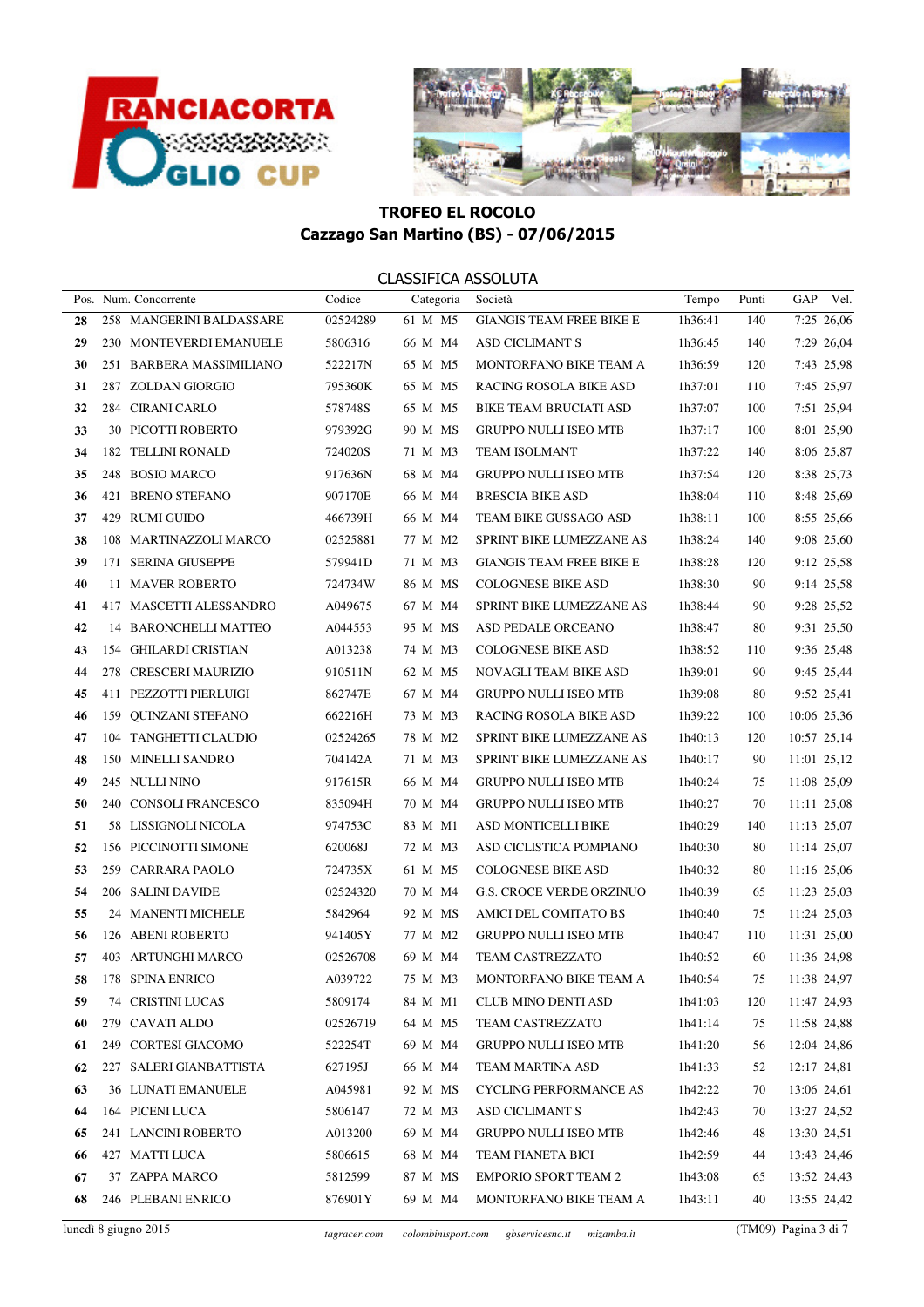



|    | Pos. Num. Concorrente    | Codice   | Categoria | Società                         | Tempo   | Punti | GAP            | Vel.       |
|----|--------------------------|----------|-----------|---------------------------------|---------|-------|----------------|------------|
| 28 | 258 MANGERINI BALDASSARE | 02524289 | 61 M M5   | <b>GIANGIS TEAM FREE BIKE E</b> | 1h36:41 | 140   |                | 7:25 26,06 |
| 29 | 230 MONTEVERDI EMANUELE  | 5806316  | 66 M M4   | ASD CICLIMANT S                 | 1h36:45 | 140   |                | 7:29 26,04 |
| 30 | 251 BARBERA MASSIMILIANO | 522217N  | 65 M M5   | MONTORFANO BIKE TEAM A          | 1h36:59 | 120   |                | 7:43 25,98 |
| 31 | 287 ZOLDAN GIORGIO       | 795360K  | 65 M M5   | RACING ROSOLA BIKE ASD          | 1h37:01 | 110   |                | 7:45 25,97 |
| 32 | 284 CIRANI CARLO         | 578748S  | 65 M M5   | <b>BIKE TEAM BRUCIATI ASD</b>   | 1h37:07 | 100   |                | 7:51 25,94 |
| 33 | 30 PICOTTI ROBERTO       | 979392G  | 90 M MS   | <b>GRUPPO NULLI ISEO MTB</b>    | 1h37:17 | 100   |                | 8:01 25,90 |
| 34 | 182 TELLINI RONALD       | 724020S  | 71 M M3   | <b>TEAM ISOLMANT</b>            | 1h37:22 | 140   |                | 8:06 25,87 |
| 35 | 248 BOSIO MARCO          | 917636N  | 68 M M4   | <b>GRUPPO NULLI ISEO MTB</b>    | 1h37:54 | 120   |                | 8:38 25,73 |
| 36 | 421 BRENO STEFANO        | 907170E  | 66 M M4   | <b>BRESCIA BIKE ASD</b>         | 1h38:04 | 110   |                | 8:48 25,69 |
| 37 | 429 RUMI GUIDO           | 466739H  | 66 M M4   | TEAM BIKE GUSSAGO ASD           | 1h38:11 | 100   |                | 8:55 25,66 |
| 38 | 108 MARTINAZZOLI MARCO   | 02525881 | 77 M M2   | SPRINT BIKE LUMEZZANE AS        | 1h38:24 | 140   |                | 9:08 25,60 |
| 39 | 171 SERINA GIUSEPPE      | 579941D  | 71 M M3   | <b>GIANGIS TEAM FREE BIKE E</b> | 1h38:28 | 120   |                | 9:12 25,58 |
| 40 | 11 MAVER ROBERTO         | 724734W  | 86 M MS   | <b>COLOGNESE BIKE ASD</b>       | 1h38:30 | 90    |                | 9:14 25,58 |
| 41 | 417 MASCETTI ALESSANDRO  | A049675  | 67 M M4   | SPRINT BIKE LUMEZZANE AS        | 1h38:44 | 90    |                | 9:28 25,52 |
| 42 | 14 BARONCHELLI MATTEO    | A044553  | 95 M MS   | ASD PEDALE ORCEANO              | 1h38:47 | 80    |                | 9:31 25,50 |
| 43 | 154 GHILARDI CRISTIAN    | A013238  | 74 M M3   | <b>COLOGNESE BIKE ASD</b>       | 1h38:52 | 110   |                | 9:36 25,48 |
| 44 | 278 CRESCERI MAURIZIO    | 910511N  | 62 M M5   | NOVAGLI TEAM BIKE ASD           | 1h39:01 | 90    |                | 9:45 25,44 |
| 45 | 411 PEZZOTTI PIERLUIGI   | 862747E  | 67 M M4   | <b>GRUPPO NULLI ISEO MTB</b>    | 1h39:08 | 80    |                | 9:52 25,41 |
| 46 | 159 QUINZANI STEFANO     | 662216H  | 73 M M3   | RACING ROSOLA BIKE ASD          | 1h39:22 | 100   | 10:06 25,36    |            |
| 47 | 104 TANGHETTI CLAUDIO    | 02524265 | 78 M M2   | SPRINT BIKE LUMEZZANE AS        | 1h40:13 | 120   | 10:57 25,14    |            |
| 48 | 150 MINELLI SANDRO       | 704142A  | 71 M M3   | SPRINT BIKE LUMEZZANE AS        | 1h40:17 | 90    | 11:01 25,12    |            |
| 49 | 245 NULLI NINO           | 917615R  | 66 M M4   | <b>GRUPPO NULLI ISEO MTB</b>    | 1h40:24 | 75    | 11:08 25,09    |            |
| 50 | 240 CONSOLI FRANCESCO    | 835094H  | 70 M M4   | <b>GRUPPO NULLI ISEO MTB</b>    | 1h40:27 | 70    | 11:11 25,08    |            |
| 51 | 58 LISSIGNOLI NICOLA     | 974753C  | 83 M M1   | ASD MONTICELLI BIKE             | 1h40:29 | 140   | 11:13 25,07    |            |
| 52 | 156 PICCINOTTI SIMONE    | 620068J  | 72 M M3   | ASD CICLISTICA POMPIANO         | 1h40:30 | 80    | 11:14 25,07    |            |
| 53 | 259 CARRARA PAOLO        | 724735X  | 61 M M5   | <b>COLOGNESE BIKE ASD</b>       | 1h40:32 | 80    | 11:16 25,06    |            |
| 54 | 206 SALINI DAVIDE        | 02524320 | 70 M M4   | <b>G.S. CROCE VERDE ORZINUO</b> | 1h40:39 | 65    | 11:23 25,03    |            |
| 55 | 24 MANENTI MICHELE       | 5842964  | 92 M MS   | AMICI DEL COMITATO BS           | 1h40:40 | 75    | 11:24 25,03    |            |
| 56 | 126 ABENI ROBERTO        | 941405Y  | 77 M M2   | <b>GRUPPO NULLI ISEO MTB</b>    | 1h40:47 | 110   | 11:31 25,00    |            |
| 57 | 403 ARTUNGHI MARCO       | 02526708 | 69 M M4   | TEAM CASTREZZATO                | 1h40:52 | 60    | 11:36 24,98    |            |
| 58 | 178 SPINA ENRICO         | A039722  |           | 75 M M3 MONTORFANO BIKE TEAM A  | 1h40:54 |       | 75 11:38 24,97 |            |
| 59 | 74 CRISTINI LUCAS        | 5809174  | 84 M M1   | CLUB MINO DENTI ASD             | 1h41:03 | 120   | 11:47 24,93    |            |
| 60 | 279 CAVATI ALDO          | 02526719 | 64 M M5   | TEAM CASTREZZATO                | 1h41:14 | 75    | 11:58 24,88    |            |
| 61 | 249 CORTESI GIACOMO      | 522254T  | 69 M M4   | <b>GRUPPO NULLI ISEO MTB</b>    | 1h41:20 | 56    | 12:04 24,86    |            |
| 62 | 227 SALERI GIANBATTISTA  | 627195J  | 66 M M4   | TEAM MARTINA ASD                | 1h41:33 | 52    | 12:17 24,81    |            |
| 63 | 36 LUNATI EMANUELE       | A045981  | 92 M MS   | <b>CYCLING PERFORMANCE AS</b>   | 1h42:22 | 70    | 13:06 24,61    |            |
| 64 | 164 PICENI LUCA          | 5806147  | 72 M M3   | ASD CICLIMANT S                 | 1h42:43 | 70    | 13:27 24,52    |            |
| 65 | 241 LANCINI ROBERTO      | A013200  | 69 M M4   | <b>GRUPPO NULLI ISEO MTB</b>    | 1h42:46 | 48    | 13:30 24,51    |            |
| 66 | 427 MATTI LUCA           | 5806615  | 68 M M4   | TEAM PIANETA BICI               | 1h42:59 | 44    | 13:43 24,46    |            |
| 67 | 37 ZAPPA MARCO           | 5812599  | 87 M MS   | <b>EMPORIO SPORT TEAM 2</b>     | 1h43:08 | 65    | 13:52 24,43    |            |
| 68 | 246 PLEBANI ENRICO       | 876901Y  | 69 M M4   | MONTORFANO BIKE TEAM A          | 1h43:11 | 40    | 13:55 24,42    |            |
|    |                          |          |           |                                 |         |       |                |            |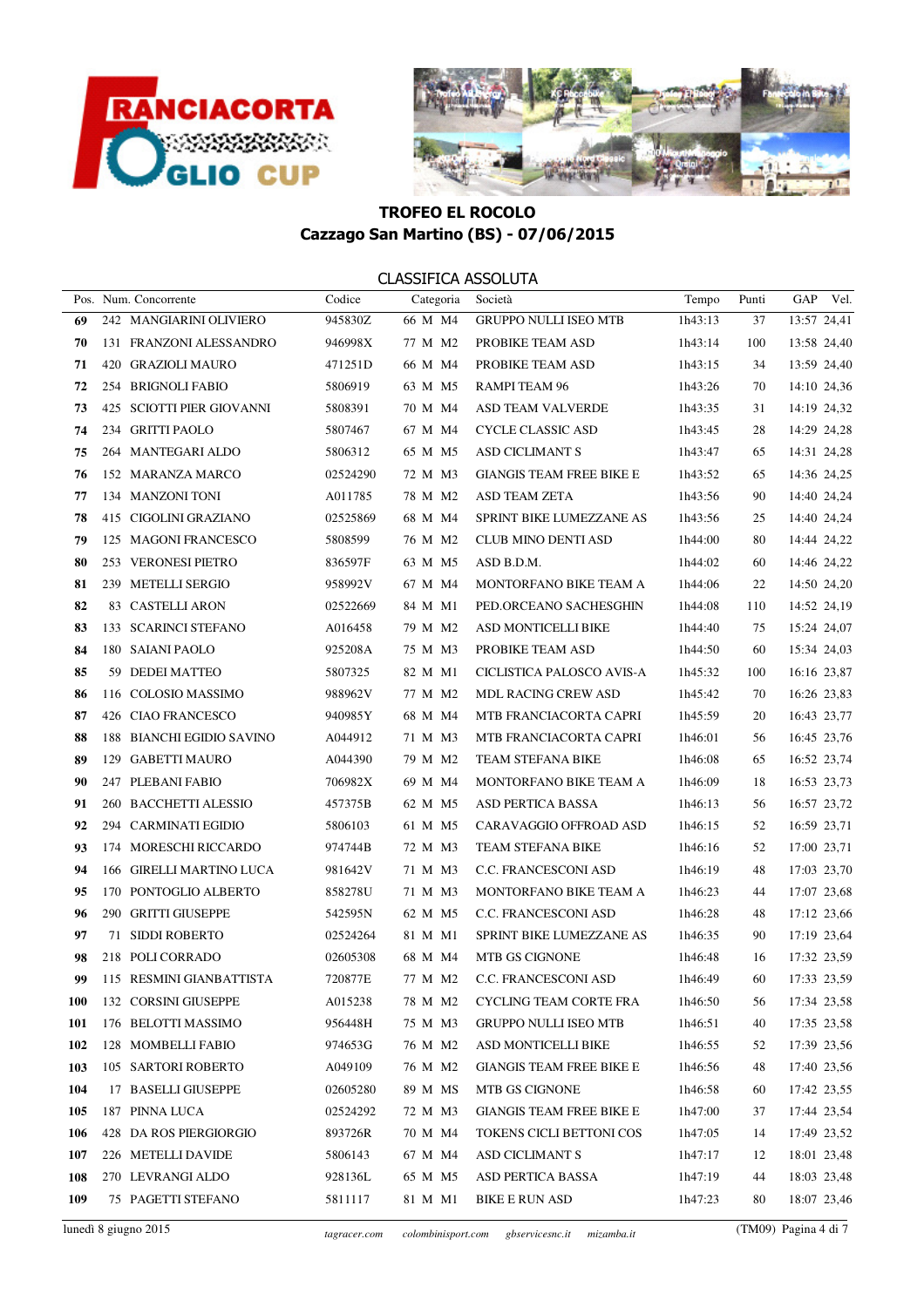



|     | Pos. Num. Concorrente     | Codice   | Categoria | Società                         | Tempo   | Punti | GAP            | Vel. |
|-----|---------------------------|----------|-----------|---------------------------------|---------|-------|----------------|------|
| 69  | 242 MANGIARINI OLIVIERO   | 945830Z  | 66 M M4   | <b>GRUPPO NULLI ISEO MTB</b>    | 1h43:13 | 37    | 13:57 24,41    |      |
| 70  | 131 FRANZONI ALESSANDRO   | 946998X  | 77 M M2   | PROBIKE TEAM ASD                | 1h43:14 | 100   | 13:58 24,40    |      |
| 71  | 420 GRAZIOLI MAURO        | 471251D  | 66 M M4   | PROBIKE TEAM ASD                | 1h43:15 | 34    | 13:59 24,40    |      |
| 72  | 254 BRIGNOLI FABIO        | 5806919  | 63 M M5   | RAMPI TEAM 96                   | 1h43:26 | 70    | 14:10 24,36    |      |
| 73  | 425 SCIOTTI PIER GIOVANNI | 5808391  | 70 M M4   | ASD TEAM VALVERDE               | 1h43:35 | 31    | 14:19 24,32    |      |
| 74  | 234 GRITTI PAOLO          | 5807467  | 67 M M4   | CYCLE CLASSIC ASD               | 1h43:45 | 28    | 14:29 24,28    |      |
| 75  | 264 MANTEGARI ALDO        | 5806312  | 65 M M5   | <b>ASD CICLIMANT S</b>          | 1h43:47 | 65    | 14:31 24,28    |      |
| 76  | 152 MARANZA MARCO         | 02524290 | 72 M M3   | <b>GIANGIS TEAM FREE BIKE E</b> | 1h43:52 | 65    | 14:36 24,25    |      |
| 77  | 134 MANZONI TONI          | A011785  | 78 M M2   | <b>ASD TEAM ZETA</b>            | 1h43:56 | 90    | 14:40 24,24    |      |
| 78  | 415 CIGOLINI GRAZIANO     | 02525869 | 68 M M4   | SPRINT BIKE LUMEZZANE AS        | 1h43:56 | 25    | 14:40 24,24    |      |
| 79  | 125 MAGONI FRANCESCO      | 5808599  | 76 M M2   | CLUB MINO DENTI ASD             | 1h44:00 | 80    | 14:44 24,22    |      |
| 80  | 253 VERONESI PIETRO       | 836597F  | 63 M M5   | ASD B.D.M.                      | 1h44:02 | 60    | 14:46 24,22    |      |
| 81  | 239 METELLI SERGIO        | 958992V  | 67 M M4   | MONTORFANO BIKE TEAM A          | 1h44:06 | 22    | 14:50 24,20    |      |
| 82  | 83 CASTELLI ARON          | 02522669 | 84 M M1   | PED.ORCEANO SACHESGHIN          | 1h44:08 | 110   | 14:52 24,19    |      |
| 83  | 133 SCARINCI STEFANO      | A016458  | 79 M M2   | ASD MONTICELLI BIKE             | 1h44:40 | 75    | 15:24 24,07    |      |
| 84  | 180 SAIANI PAOLO          | 925208A  | 75 M M3   | PROBIKE TEAM ASD                | 1h44:50 | 60    | 15:34 24,03    |      |
| 85  | 59 DEDEI MATTEO           | 5807325  | 82 M M1   | CICLISTICA PALOSCO AVIS-A       | 1h45:32 | 100   | 16:16 23,87    |      |
| 86  | 116 COLOSIO MASSIMO       | 988962V  | 77 M M2   | <b>MDL RACING CREW ASD</b>      | 1h45:42 | 70    | 16:26 23,83    |      |
| 87  | 426 CIAO FRANCESCO        | 940985Y  | 68 M M4   | MTB FRANCIACORTA CAPRI          | 1h45:59 | 20    | 16:43 23,77    |      |
| 88  | 188 BIANCHI EGIDIO SAVINO | A044912  | 71 M M3   | MTB FRANCIACORTA CAPRI          | 1h46:01 | 56    | 16:45 23,76    |      |
| 89  | 129 GABETTI MAURO         | A044390  | 79 M M2   | TEAM STEFANA BIKE               | 1h46:08 | 65    | 16:52 23,74    |      |
| 90  | 247 PLEBANI FABIO         | 706982X  | 69 M M4   | MONTORFANO BIKE TEAM A          | 1h46:09 | 18    | 16:53 23,73    |      |
| 91  | 260 BACCHETTI ALESSIO     | 457375B  | 62 M M5   | ASD PERTICA BASSA               | 1h46:13 | 56    | 16:57 23,72    |      |
| 92  | 294 CARMINATI EGIDIO      | 5806103  | 61 M M5   | CARAVAGGIO OFFROAD ASD          | 1h46:15 | 52    | 16:59 23,71    |      |
| 93  | 174 MORESCHI RICCARDO     | 974744B  | 72 M M3   | TEAM STEFANA BIKE               | 1h46:16 | 52    | 17:00 23,71    |      |
| 94  | 166 GIRELLI MARTINO LUCA  | 981642V  | 71 M M3   | C.C. FRANCESCONI ASD            | 1h46:19 | 48    | 17:03 23,70    |      |
| 95  | 170 PONTOGLIO ALBERTO     | 858278U  | 71 M M3   | MONTORFANO BIKE TEAM A          | 1h46:23 | 44    | 17:07 23,68    |      |
| 96  | 290 GRITTI GIUSEPPE       | 542595N  | 62 M M5   | C.C. FRANCESCONI ASD            | 1h46:28 | 48    | 17:12 23,66    |      |
| 97  | 71 SIDDI ROBERTO          | 02524264 | 81 M M1   | SPRINT BIKE LUMEZZANE AS        | 1h46:35 | 90    | 17:19 23,64    |      |
| 98  | 218 POLI CORRADO          | 02605308 | 68 M M4   | MTB GS CIGNONE                  | 1h46:48 | 16    | 17:32 23,59    |      |
| 99  | 115 RESMINI GIANBATTISTA  | 720877E  |           | 77 M M2 C.C. FRANCESCONI ASD    | 1h46:49 |       | 60 17:33 23,59 |      |
| 100 | 132 CORSINI GIUSEPPE      | A015238  | 78 M M2   | <b>CYCLING TEAM CORTE FRA</b>   | 1h46:50 | 56    | 17:34 23,58    |      |
| 101 | 176 BELOTTI MASSIMO       | 956448H  | 75 M M3   | <b>GRUPPO NULLI ISEO MTB</b>    | 1h46:51 | 40    | 17:35 23,58    |      |
| 102 | 128 MOMBELLI FABIO        | 974653G  | 76 M M2   | ASD MONTICELLI BIKE             | 1h46:55 | 52    | 17:39 23,56    |      |
| 103 | 105 SARTORI ROBERTO       | A049109  | 76 M M2   | <b>GIANGIS TEAM FREE BIKE E</b> | 1h46:56 | 48    | 17:40 23,56    |      |
| 104 | 17 BASELLI GIUSEPPE       | 02605280 | 89 M MS   | MTB GS CIGNONE                  | 1h46:58 | 60    | 17:42 23,55    |      |
| 105 | 187 PINNA LUCA            | 02524292 | 72 M M3   | <b>GIANGIS TEAM FREE BIKE E</b> | 1h47:00 | 37    | 17:44 23,54    |      |
| 106 | 428 DA ROS PIERGIORGIO    | 893726R  | 70 M M4   | TOKENS CICLI BETTONI COS        | 1h47:05 | 14    | 17:49 23,52    |      |
| 107 | 226 METELLI DAVIDE        | 5806143  | 67 M M4   | <b>ASD CICLIMANT S</b>          | 1h47:17 | 12    | 18:01 23,48    |      |
| 108 | 270 LEVRANGI ALDO         | 928136L  | 65 M M5   | ASD PERTICA BASSA               | 1h47:19 | 44    | 18:03 23,48    |      |
| 109 | 75 PAGETTI STEFANO        | 5811117  | 81 M M1   | <b>BIKE E RUN ASD</b>           | 1h47:23 | 80    | 18:07 23,46    |      |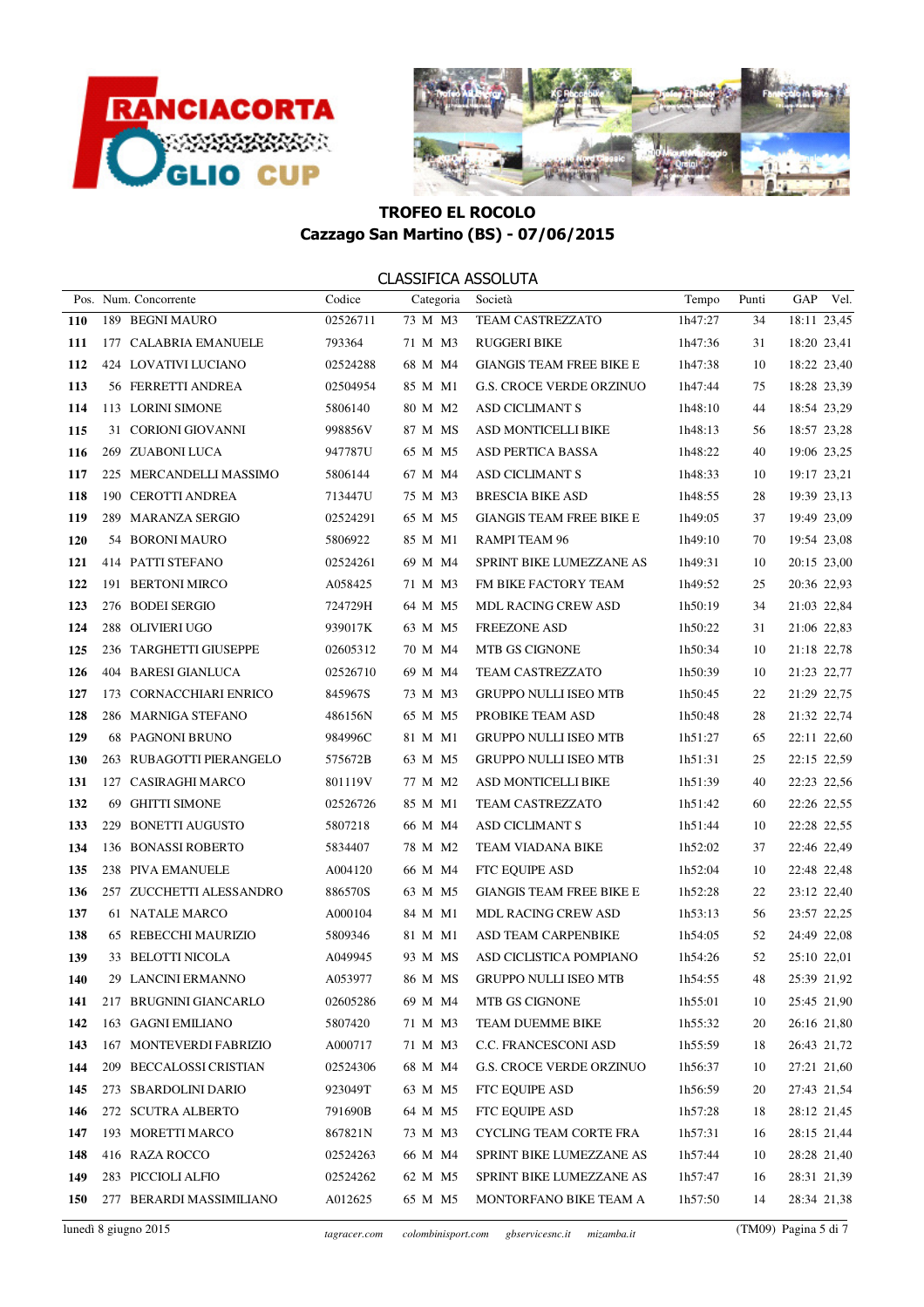



|            | Pos. Num. Concorrente    | Codice   | Categoria | Società                         | Tempo   | Punti | GAP         | Vel. |
|------------|--------------------------|----------|-----------|---------------------------------|---------|-------|-------------|------|
| <b>110</b> | 189 BEGNI MAURO          | 02526711 | 73 M M3   | TEAM CASTREZZATO                | 1h47:27 | 34    | 18:11 23,45 |      |
| 111        | 177 CALABRIA EMANUELE    | 793364   | 71 M M3   | <b>RUGGERI BIKE</b>             | 1h47:36 | 31    | 18:20 23,41 |      |
| 112        | 424 LOVATIVI LUCIANO     | 02524288 | 68 M M4   | <b>GIANGIS TEAM FREE BIKE E</b> | 1h47:38 | 10    | 18:22 23,40 |      |
| 113        | 56 FERRETTI ANDREA       | 02504954 | 85 M M1   | <b>G.S. CROCE VERDE ORZINUO</b> | 1h47:44 | 75    | 18:28 23,39 |      |
| 114        | 113 LORINI SIMONE        | 5806140  | 80 M M2   | <b>ASD CICLIMANT S</b>          | 1h48:10 | 44    | 18:54 23,29 |      |
| 115        | 31 CORIONI GIOVANNI      | 998856V  | 87 M MS   | ASD MONTICELLI BIKE             | 1h48:13 | 56    | 18:57 23,28 |      |
| 116        | 269 ZUABONI LUCA         | 947787U  | 65 M M5   | <b>ASD PERTICA BASSA</b>        | 1h48:22 | 40    | 19:06 23,25 |      |
| 117        | 225 MERCANDELLI MASSIMO  | 5806144  | 67 M M4   | ASD CICLIMANT S                 | 1h48:33 | 10    | 19:17 23,21 |      |
| 118        | 190 CEROTTI ANDREA       | 713447U  | 75 M M3   | <b>BRESCIA BIKE ASD</b>         | 1h48:55 | 28    | 19:39 23,13 |      |
| 119        | 289 MARANZA SERGIO       | 02524291 | 65 M M5   | <b>GIANGIS TEAM FREE BIKE E</b> | 1h49:05 | 37    | 19:49 23,09 |      |
| 120        | 54 BORONI MAURO          | 5806922  | 85 M M1   | RAMPI TEAM 96                   | 1h49:10 | 70    | 19:54 23,08 |      |
| 121        | 414 PATTI STEFANO        | 02524261 | 69 M M4   | SPRINT BIKE LUMEZZANE AS        | 1h49:31 | 10    | 20:15 23,00 |      |
| 122        | 191 BERTONI MIRCO        | A058425  | 71 M M3   | FM BIKE FACTORY TEAM            | 1h49:52 | 25    | 20:36 22,93 |      |
| 123        | 276 BODEI SERGIO         | 724729H  | 64 M M5   | <b>MDL RACING CREW ASD</b>      | 1h50:19 | 34    | 21:03 22,84 |      |
| 124        | 288 OLIVIERI UGO         | 939017K  | 63 M M5   | <b>FREEZONE ASD</b>             | 1h50:22 | 31    | 21:06 22,83 |      |
| 125        | 236 TARGHETTI GIUSEPPE   | 02605312 | 70 M M4   | MTB GS CIGNONE                  | 1h50:34 | 10    | 21:18 22,78 |      |
| 126        | 404 BARESI GIANLUCA      | 02526710 | 69 M M4   | TEAM CASTREZZATO                | 1h50:39 | 10    | 21:23 22,77 |      |
| 127        | 173 CORNACCHIARI ENRICO  | 845967S  | 73 M M3   | <b>GRUPPO NULLI ISEO MTB</b>    | 1h50:45 | 22    | 21:29 22,75 |      |
| 128        | 286 MARNIGA STEFANO      | 486156N  | 65 M M5   | PROBIKE TEAM ASD                | 1h50:48 | 28    | 21:32 22,74 |      |
| 129        | <b>68 PAGNONI BRUNO</b>  | 984996C  | 81 M M1   | <b>GRUPPO NULLI ISEO MTB</b>    | 1h51:27 | 65    | 22:11 22,60 |      |
| 130        | 263 RUBAGOTTI PIERANGELO | 575672B  | 63 M M5   | <b>GRUPPO NULLI ISEO MTB</b>    | 1h51:31 | 25    | 22:15 22,59 |      |
| 131        | 127 CASIRAGHI MARCO      | 801119V  | 77 M M2   | ASD MONTICELLI BIKE             | 1h51:39 | 40    | 22:23 22,56 |      |
| 132        | 69 GHITTI SIMONE         | 02526726 | 85 M M1   | TEAM CASTREZZATO                | 1h51:42 | 60    | 22:26 22,55 |      |
| 133        | 229 BONETTI AUGUSTO      | 5807218  | 66 M M4   | <b>ASD CICLIMANT S</b>          | 1h51:44 | 10    | 22:28 22,55 |      |
| 134        | 136 BONASSI ROBERTO      | 5834407  | 78 M M2   | TEAM VIADANA BIKE               | 1h52:02 | 37    | 22:46 22,49 |      |
| 135        | 238 PIVA EMANUELE        | A004120  | 66 M M4   | FTC EQUIPE ASD                  | 1h52:04 | 10    | 22:48 22,48 |      |
| 136        | 257 ZUCCHETTI ALESSANDRO | 886570S  | 63 M M5   | <b>GIANGIS TEAM FREE BIKE E</b> | 1h52:28 | 22    | 23:12 22,40 |      |
| 137        | 61 NATALE MARCO          | A000104  | 84 M M1   | MDL RACING CREW ASD             | 1h53:13 | 56    | 23:57 22,25 |      |
| 138        | 65 REBECCHI MAURIZIO     | 5809346  | 81 M M1   | ASD TEAM CARPENBIKE             | 1h54:05 | 52    | 24:49 22,08 |      |
| 139        | 33 BELOTTI NICOLA        | A049945  | 93 M MS   | ASD CICLISTICA POMPIANO         | 1h54:26 | 52    | 25:10 22,01 |      |
| 140        | 29 LANCINI ERMANNO       | A053977  |           | 86 M MS GRUPPO NULLI ISEO MTB   | 1h54:55 | 48    | 25:39 21,92 |      |
| 141        | 217 BRUGNINI GIANCARLO   | 02605286 | 69 M M4   | MTB GS CIGNONE                  | 1h55:01 | 10    | 25:45 21,90 |      |
| 142        | 163 GAGNI EMILIANO       | 5807420  | 71 M M3   | TEAM DUEMME BIKE                | 1h55:32 | 20    | 26:16 21,80 |      |
| 143        | 167 MONTEVERDI FABRIZIO  | A000717  | 71 M M3   | C.C. FRANCESCONI ASD            | 1h55:59 | 18    | 26:43 21,72 |      |
| 144        | 209 BECCALOSSI CRISTIAN  | 02524306 | 68 M M4   | <b>G.S. CROCE VERDE ORZINUO</b> | 1h56:37 | 10    | 27:21 21,60 |      |
| 145        | 273 SBARDOLINI DARIO     | 923049T  | 63 M M5   | FTC EQUIPE ASD                  | 1h56:59 | 20    | 27:43 21,54 |      |
| 146        | 272 SCUTRA ALBERTO       | 791690B  | 64 M M5   | FTC EQUIPE ASD                  | 1h57:28 | 18    | 28:12 21,45 |      |
| 147        | 193 MORETTI MARCO        | 867821N  | 73 M M3   | CYCLING TEAM CORTE FRA          | 1h57:31 | 16    | 28:15 21,44 |      |
| 148        | 416 RAZA ROCCO           | 02524263 | 66 M M4   | SPRINT BIKE LUMEZZANE AS        | 1h57:44 | 10    | 28:28 21,40 |      |
| 149        | 283 PICCIOLI ALFIO       | 02524262 | 62 M M5   | SPRINT BIKE LUMEZZANE AS        | 1h57:47 | 16    | 28:31 21,39 |      |
| 150        | 277 BERARDI MASSIMILIANO | A012625  | 65 M M5   | MONTORFANO BIKE TEAM A          | 1h57:50 | 14    | 28:34 21,38 |      |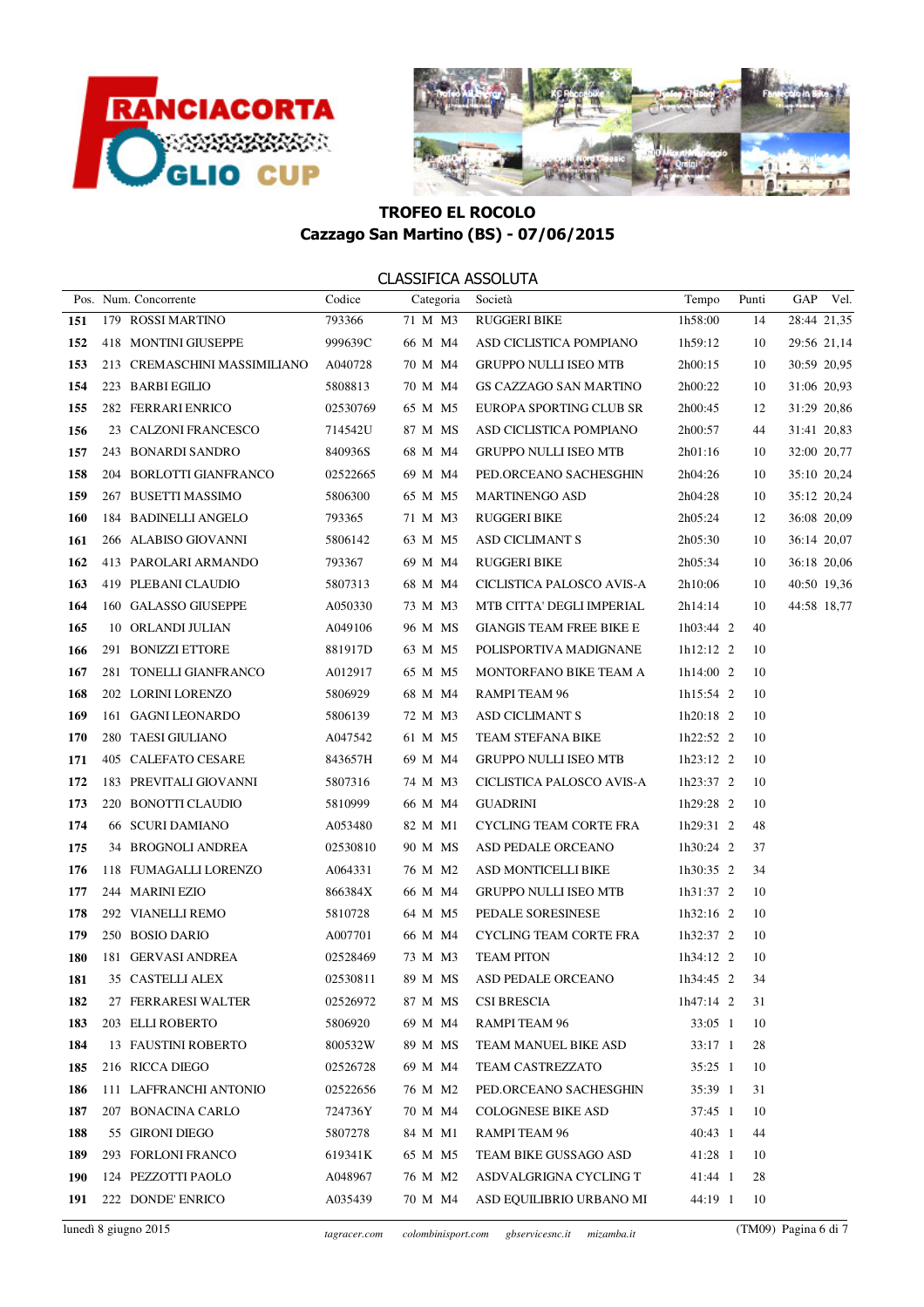



|     | Pos. Num. Concorrente        | Codice   | Categoria | Società                         | Tempo           | Punti | GAP Vel.    |
|-----|------------------------------|----------|-----------|---------------------------------|-----------------|-------|-------------|
| 151 | 179 ROSSI MARTINO            | 793366   | 71 M M3   | <b>RUGGERI BIKE</b>             | 1h58:00         | 14    | 28:44 21,35 |
| 152 | 418 MONTINI GIUSEPPE         | 999639C  | 66 M M4   | ASD CICLISTICA POMPIANO         | 1h59:12         | 10    | 29:56 21,14 |
| 153 | 213 CREMASCHINI MASSIMILIANO | A040728  | 70 M M4   | <b>GRUPPO NULLI ISEO MTB</b>    | 2h00:15         | 10    | 30:59 20,95 |
| 154 | 223 BARBI EGILIO             | 5808813  | 70 M M4   | GS CAZZAGO SAN MARTINO          | 2h00:22         | 10    | 31:06 20,93 |
| 155 | 282 FERRARI ENRICO           | 02530769 | 65 M M5   | EUROPA SPORTING CLUB SR         | 2h00:45         | 12    | 31:29 20,86 |
| 156 | 23 CALZONI FRANCESCO         | 714542U  | 87 M MS   | ASD CICLISTICA POMPIANO         | 2h00:57         | 44    | 31:41 20,83 |
| 157 | 243 BONARDI SANDRO           | 840936S  | 68 M M4   | <b>GRUPPO NULLI ISEO MTB</b>    | 2h01:16         | 10    | 32:00 20,77 |
| 158 | 204 BORLOTTI GIANFRANCO      | 02522665 | 69 M M4   | PED.ORCEANO SACHESGHIN          | 2h04:26         | 10    | 35:10 20,24 |
| 159 | 267 BUSETTI MASSIMO          | 5806300  | 65 M M5   | <b>MARTINENGO ASD</b>           | 2h04:28         | 10    | 35:12 20,24 |
| 160 | 184 BADINELLI ANGELO         | 793365   | 71 M M3   | <b>RUGGERI BIKE</b>             | 2h05:24         | 12    | 36:08 20,09 |
| 161 | 266 ALABISO GIOVANNI         | 5806142  | 63 M M5   | <b>ASD CICLIMANT S</b>          | 2h05:30         | 10    | 36:14 20,07 |
| 162 | 413 PAROLARI ARMANDO         | 793367   | 69 M M4   | <b>RUGGERI BIKE</b>             | 2h05:34         | 10    | 36:18 20,06 |
| 163 | 419 PLEBANI CLAUDIO          | 5807313  | 68 M M4   | CICLISTICA PALOSCO AVIS-A       | 2h10:06         | 10    | 40:50 19,36 |
| 164 | 160 GALASSO GIUSEPPE         | A050330  | 73 M M3   | MTB CITTA' DEGLI IMPERIAL       | 2h14:14         | 10    | 44:58 18,77 |
| 165 | 10 ORLANDI JULIAN            | A049106  | 96 M MS   | <b>GIANGIS TEAM FREE BIKE E</b> | $1h03:44$ 2     | 40    |             |
| 166 | 291 BONIZZI ETTORE           | 881917D  | 63 M M5   | POLISPORTIVA MADIGNANE          | $1h12:12$ 2     | 10    |             |
| 167 | 281 TONELLI GIANFRANCO       | A012917  | 65 M M5   | MONTORFANO BIKE TEAM A          | $1h14:00$ 2     | 10    |             |
| 168 | 202 LORINI LORENZO           | 5806929  | 68 M M4   | RAMPI TEAM 96                   | $1h15:54$ 2     | 10    |             |
| 169 | 161 GAGNI LEONARDO           | 5806139  | 72 M M3   | ASD CICLIMANT S                 | $1h20:18$ 2     | 10    |             |
| 170 | 280 TAESI GIULIANO           | A047542  | 61 M M5   | TEAM STEFANA BIKE               | $1h22:52$ 2     | 10    |             |
| 171 | 405 CALEFATO CESARE          | 843657H  | 69 M M4   | <b>GRUPPO NULLI ISEO MTB</b>    | $1h23:12$ 2     | 10    |             |
| 172 | 183 PREVITALI GIOVANNI       | 5807316  | 74 M M3   | CICLISTICA PALOSCO AVIS-A       | $1h23:37$ 2     | 10    |             |
| 173 | 220 BONOTTI CLAUDIO          | 5810999  | 66 M M4   | <b>GUADRINI</b>                 | 1h29:28 2       | 10    |             |
| 174 | 66 SCURI DAMIANO             | A053480  | 82 M M1   | CYCLING TEAM CORTE FRA          | $1h29:31$ 2     | 48    |             |
| 175 | 34 BROGNOLI ANDREA           | 02530810 | 90 M MS   | ASD PEDALE ORCEANO              | $1h30:24$ 2     | 37    |             |
| 176 | 118 FUMAGALLI LORENZO        | A064331  | 76 M M2   | ASD MONTICELLI BIKE             | $1h30:35$ 2     | 34    |             |
| 177 | 244 MARINI EZIO              | 866384X  | 66 M M4   | <b>GRUPPO NULLI ISEO MTB</b>    | $1h31:37$ 2     | 10    |             |
| 178 | 292 VIANELLI REMO            | 5810728  | 64 M M5   | PEDALE SORESINESE               | $1h32:16$ 2     | 10    |             |
| 179 | 250 BOSIO DARIO              | A007701  | 66 M M4   | CYCLING TEAM CORTE FRA          | $1h32:37$ 2     | 10    |             |
| 180 | 181 GERVASI ANDREA           | 02528469 | 73 M M3   | <b>TEAM PITON</b>               | $1h34:12$ 2     | 10    |             |
| 181 | 35   CASTELLI ALEX           | 02530811 |           | 89 M MS ASD PEDALE ORCEANO      | 1h34:45 2       | 34    |             |
| 182 | 27 FERRARESI WALTER          | 02526972 | 87 M MS   | CSI BRESCIA                     | $1h47:14$ 2     | 31    |             |
| 183 | 203 ELLI ROBERTO             | 5806920  | 69 M M4   | RAMPI TEAM 96                   | $33:05$ 1       | 10    |             |
| 184 | 13 FAUSTINI ROBERTO          | 800532W  | 89 M MS   | TEAM MANUEL BIKE ASD            | $33:17 \quad 1$ | 28    |             |
| 185 | 216 RICCA DIEGO              | 02526728 | 69 M M4   | TEAM CASTREZZATO                | $35:25$ 1       | 10    |             |
| 186 | 111 LAFFRANCHI ANTONIO       | 02522656 | 76 M M2   | PED.ORCEANO SACHESGHIN          | 35:39 1         | 31    |             |
| 187 | 207 BONACINA CARLO           | 724736Y  | 70 M M4   | <b>COLOGNESE BIKE ASD</b>       | 37:45 1         | 10    |             |
| 188 | 55 GIRONI DIEGO              | 5807278  | 84 M M1   | RAMPI TEAM 96                   | 40:43 1         | 44    |             |
| 189 | 293 FORLONI FRANCO           | 619341K  | 65 M M5   | TEAM BIKE GUSSAGO ASD           | 41:28 1         | 10    |             |
| 190 | 124 PEZZOTTI PAOLO           | A048967  | 76 M M2   | ASDVALGRIGNA CYCLING T          | 41:44 1         | 28    |             |
| 191 | 222 DONDE' ENRICO            | A035439  | 70 M M4   | ASD EQUILIBRIO URBANO MI        | 44:19 1         | 10    |             |